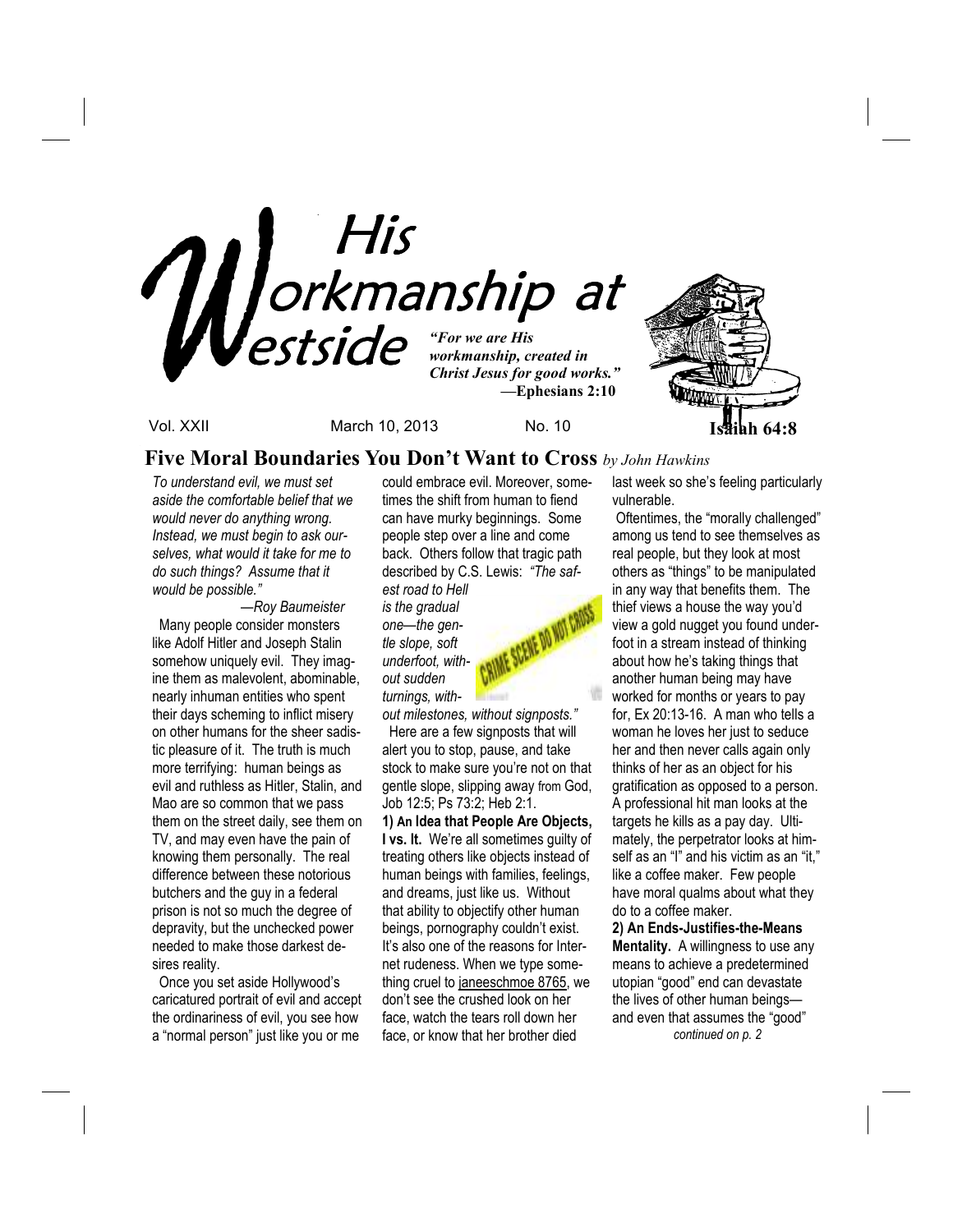

Vol. XXII March 10, 2013 No. 10 **Isaiah 64:8**

### **Five Moral Boundaries You Don't Want to Cross** *by John Hawkins*

*To understand evil, we must set aside the comfortable belief that we would never do anything wrong. Instead, we must begin to ask ourselves, what would it take for me to do such things? Assume that it would be possible."* 

 *—Roy Baumeister* Many people consider monsters like Adolf Hitler and Joseph Stalin somehow uniquely evil. They imagine them as malevolent, abominable, nearly inhuman entities who spent their days scheming to inflict misery on other humans for the sheer sadistic pleasure of it. The truth is much more terrifying: human beings as evil and ruthless as Hitler, Stalin, and Mao are so common that we pass them on the street daily, see them on TV, and may even have the pain of knowing them personally. The real difference between these notorious butchers and the guy in a federal prison is not so much the degree of depravity, but the unchecked power needed to make those darkest desires reality.

 Once you set aside Hollywood's caricatured portrait of evil and accept the ordinariness of evil, you see how a "normal person" just like you or me

could embrace evil. Moreover, sometimes the shift from human to fiend can have murky beginnings. Some people step over a line and come back. Others follow that tragic path described by C.S. Lewis: *"The saf-*

*est road to Hell is the gradual one—the gentle slope, soft underfoot, without sudden turnings, with-*



*out milestones, without signposts."*  Here are a few signposts that will alert you to stop, pause, and take stock to make sure you're not on that gentle slope, slipping away from God, Job 12:5; Ps 73:2; Heb 2:1.

**1) An Idea that People Are Objects, I vs. It.** We're all sometimes guilty of treating others like objects instead of human beings with families, feelings, and dreams, just like us. Without that ability to objectify other human beings, pornography couldn't exist. It's also one of the reasons for Internet rudeness. When we type something cruel to janeeschmoe 8765, we don't see the crushed look on her face, watch the tears roll down her face, or know that her brother died

last week so she's feeling particularly vulnerable.

 Oftentimes, the "morally challenged" among us tend to see themselves as real people, but they look at most others as "things" to be manipulated in any way that benefits them. The thief views a house the way you'd view a gold nugget you found underfoot in a stream instead of thinking about how he's taking things that another human being may have worked for months or years to pay for, Ex 20:13-16. A man who tells a woman he loves her just to seduce her and then never calls again only thinks of her as an object for his gratification as opposed to a person. A professional hit man looks at the targets he kills as a pay day. Ultimately, the perpetrator looks at himself as an "I" and his victim as an "it," like a coffee maker. Few people have moral qualms about what they do to a coffee maker.

**2) An Ends-Justifies-the-Means Mentality.** A willingness to use any means to achieve a predetermined utopian "good" end can devastate the lives of other human beings and even that assumes the "good" *continued on p. 2*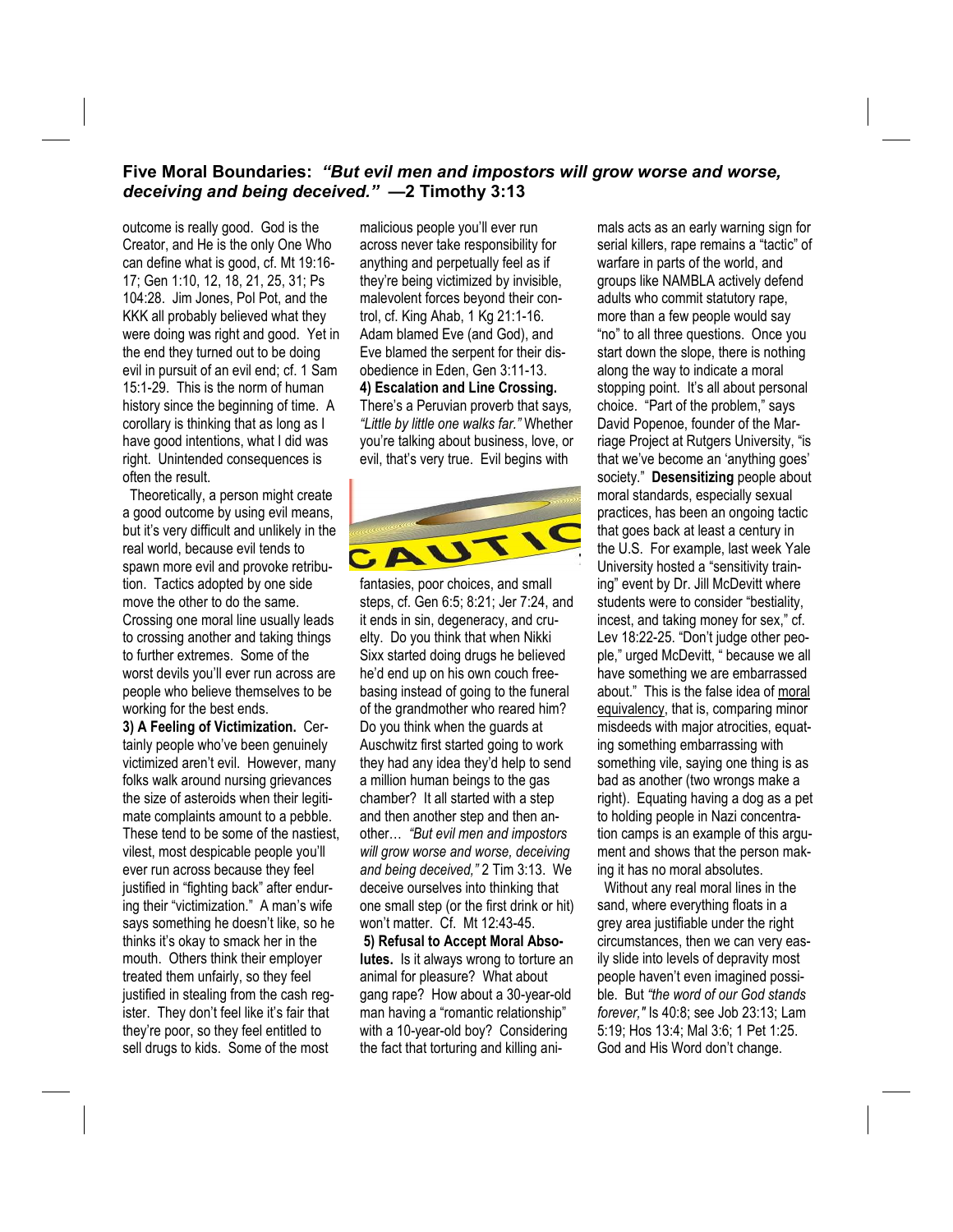### **Five Moral Boundaries:** *"But evil men and impostors will grow worse and worse, deceiving and being deceived."* **—2 Timothy 3:13**

outcome is really good. God is the Creator, and He is the only One Who can define what is good, cf. Mt 19:16- 17; Gen 1:10, 12, 18, 21, 25, 31; Ps 104:28. Jim Jones, Pol Pot, and the KKK all probably believed what they were doing was right and good. Yet in the end they turned out to be doing evil in pursuit of an evil end; cf. 1 Sam 15:1-29. This is the norm of human history since the beginning of time. A corollary is thinking that as long as I have good intentions, what I did was right. Unintended consequences is often the result.

 Theoretically, a person might create a good outcome by using evil means, but it's very difficult and unlikely in the real world, because evil tends to spawn more evil and provoke retribution. Tactics adopted by one side move the other to do the same. Crossing one moral line usually leads to crossing another and taking things to further extremes. Some of the worst devils you'll ever run across are people who believe themselves to be working for the best ends.

**3) A Feeling of Victimization.** Certainly people who've been genuinely victimized aren't evil. However, many folks walk around nursing grievances the size of asteroids when their legitimate complaints amount to a pebble. These tend to be some of the nastiest, vilest, most despicable people you'll ever run across because they feel justified in "fighting back" after enduring their "victimization." A man's wife says something he doesn't like, so he thinks it's okay to smack her in the mouth. Others think their employer treated them unfairly, so they feel justified in stealing from the cash register. They don't feel like it's fair that they're poor, so they feel entitled to sell drugs to kids. Some of the most

malicious people you'll ever run across never take responsibility for anything and perpetually feel as if they're being victimized by invisible, malevolent forces beyond their control, cf. King Ahab, 1 Kg 21:1-16. Adam blamed Eve (and God), and Eve blamed the serpent for their disobedience in Eden, Gen 3:11-13. **4) Escalation and Line Crossing.** There's a Peruvian proverb that says*, "Little by little one walks far."* Whether you're talking about business, love, or evil, that's very true. Evil begins with



fantasies, poor choices, and small steps, cf. Gen 6:5; 8:21; Jer 7:24, and it ends in sin, degeneracy, and cruelty. Do you think that when Nikki Sixx started doing drugs he believed he'd end up on his own couch freebasing instead of going to the funeral of the grandmother who reared him? Do you think when the guards at Auschwitz first started going to work they had any idea they'd help to send a million human beings to the gas chamber? It all started with a step and then another step and then another… *"But evil men and impostors will grow worse and worse, deceiving and being deceived,"* 2 Tim 3:13. We deceive ourselves into thinking that one small step (or the first drink or hit) won't matter. Cf. Mt 12:43-45. **5) Refusal to Accept Moral Absolutes.** Is it always wrong to torture an animal for pleasure? What about gang rape? How about a 30-year-old man having a "romantic relationship" with a 10-year-old boy? Considering the fact that torturing and killing animals acts as an early warning sign for serial killers, rape remains a "tactic" of warfare in parts of the world, and groups like NAMBLA actively defend adults who commit statutory rape, more than a few people would say "no" to all three questions. Once you start down the slope, there is nothing along the way to indicate a moral stopping point. It's all about personal choice. "Part of the problem," says David Popenoe, founder of the Marriage Project at Rutgers University, "is that we've become an 'anything goes' society." **Desensitizing** people about moral standards, especially sexual practices, has been an ongoing tactic that goes back at least a century in the U.S. For example, last week Yale University hosted a "sensitivity training" event by Dr. Jill McDevitt where students were to consider "bestiality, incest, and taking money for sex," cf. Lev 18:22-25. "Don't judge other people," urged McDevitt, " because we all have something we are embarrassed about." This is the false idea of moral equivalency, that is, comparing minor misdeeds with major atrocities, equating something embarrassing with something vile, saying one thing is as bad as another (two wrongs make a right). Equating having a dog as a pet to holding people in Nazi concentration camps is an example of this argument and shows that the person making it has no moral absolutes.

 Without any real moral lines in the sand, where everything floats in a grey area justifiable under the right circumstances, then we can very easily slide into levels of depravity most people haven't even imagined possible. But *"the word of our God stands forever,"* Is 40:8; see Job 23:13; Lam 5:19; Hos 13:4; Mal 3:6; 1 Pet 1:25. God and His Word don't change.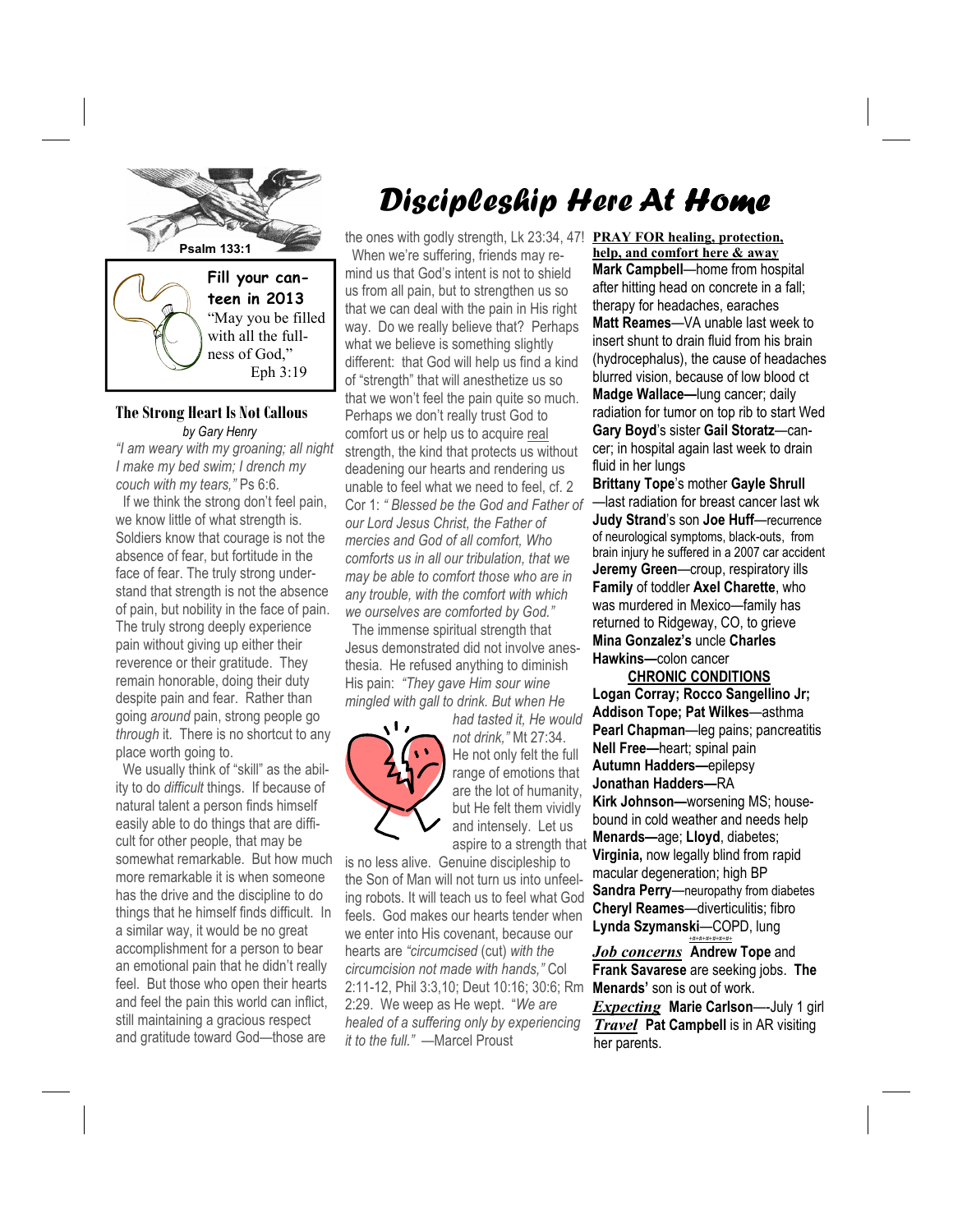

### **The Strong Heart Is Not Callous**  *by Gary Henry*

*"I am weary with my groaning; all night I make my bed swim; I drench my couch with my tears,"* Ps 6:6.

 If we think the strong don't feel pain, we know little of what strength is. Soldiers know that courage is not the absence of fear, but fortitude in the face of fear. The truly strong understand that strength is not the absence of pain, but nobility in the face of pain. The truly strong deeply experience pain without giving up either their reverence or their gratitude. They remain honorable, doing their duty despite pain and fear. Rather than going *around* pain, strong people go *through* it. There is no shortcut to any place worth going to.

 We usually think of "skill" as the ability to do *difficult* things. If because of natural talent a person finds himself easily able to do things that are difficult for other people, that may be somewhat remarkable. But how much more remarkable it is when someone has the drive and the discipline to do things that he himself finds difficult. In a similar way, it would be no great accomplishment for a person to bear an emotional pain that he didn't really feel. But those who open their hearts and feel the pain this world can inflict, still maintaining a gracious respect and gratitude toward God—those are

# Discipleship Here At Home

the ones with godly strength, Lk 23:34, 47! **PRAY FOR healing, protection,** When we're suffering, friends may remind us that God's intent is not to shield us from all pain, but to strengthen us so that we can deal with the pain in His right way. Do we really believe that? Perhaps what we believe is something slightly different: that God will help us find a kind of "strength" that will anesthetize us so that we won't feel the pain quite so much. Perhaps we don't really trust God to comfort us or help us to acquire real strength, the kind that protects us without deadening our hearts and rendering us unable to feel what we need to feel, cf. 2 Cor 1: *" Blessed be the God and Father of our Lord Jesus Christ, the Father of mercies and God of all comfort, Who comforts us in all our tribulation, that we may be able to comfort those who are in any trouble, with the comfort with which we ourselves are comforted by God."* 

 The immense spiritual strength that Jesus demonstrated did not involve anesthesia. He refused anything to diminish His pain: *"They gave Him sour wine mingled with gall to drink. But when He* 



*had tasted it, He would not drink,"* Mt 27:34. He not only felt the full range of emotions that are the lot of humanity, but He felt them vividly and intensely. Let us aspire to a strength that

is no less alive. Genuine discipleship to the Son of Man will not turn us into unfeeling robots. It will teach us to feel what God feels. God makes our hearts tender when we enter into His covenant, because our hearts are *"circumcised* (cut) *with the circumcision not made with hands,"* Col 2:11-12, Phil 3:3,10; Deut 10:16; 30:6; Rm 2:29. We weep as He wept. "*We are healed of a suffering only by experiencing it to the full."* —Marcel Proust

**help, and comfort here & away Mark Campbell**—home from hospital after hitting head on concrete in a fall; therapy for headaches, earaches **Matt Reames**—VA unable last week to insert shunt to drain fluid from his brain (hydrocephalus), the cause of headaches blurred vision, because of low blood ct **Madge Wallace—**lung cancer; daily radiation for tumor on top rib to start Wed **Gary Boyd**'s sister **Gail Storatz**—cancer; in hospital again last week to drain fluid in her lungs

**Brittany Tope**'s mother **Gayle Shrull**  —last radiation for breast cancer last wk **Judy Strand**'s son **Joe Huff**—recurrence of neurological symptoms, black-outs, from brain injury he suffered in a 2007 car accident **Jeremy Green**—croup, respiratory ills **Family** of toddler **Axel Charette**, who was murdered in Mexico—family has returned to Ridgeway, CO, to grieve **Mina Gonzalez's** uncle **Charles Hawkins—**colon cancer

 **CHRONIC CONDITIONS Logan Corray; Rocco Sangellino Jr; Addison Tope; Pat Wilkes**—asthma **Pearl Chapman**—leg pains; pancreatitis **Nell Free—**heart; spinal pain **Autumn Hadders—**epilepsy **Jonathan Hadders—**RA **Kirk Johnson—**worsening MS; housebound in cold weather and needs help **Menards—**age; **Lloyd**, diabetes; **Virginia,** now legally blind from rapid macular degeneration; high BP **Sandra Perry**—neuropathy from diabetes **Cheryl Reames**—diverticulitis; fibro **Lynda Szymanski**—COPD, lung

*Job concerns* **Andrew Tope** and **Frank Savarese** are seeking jobs. **The Menards'** son is out of work. *Expecting* **Marie Carlson**—-July 1 girl *Travel* **Pat Campbell** is in AR visiting her parents.

*+#+#+#+#+#+#+*